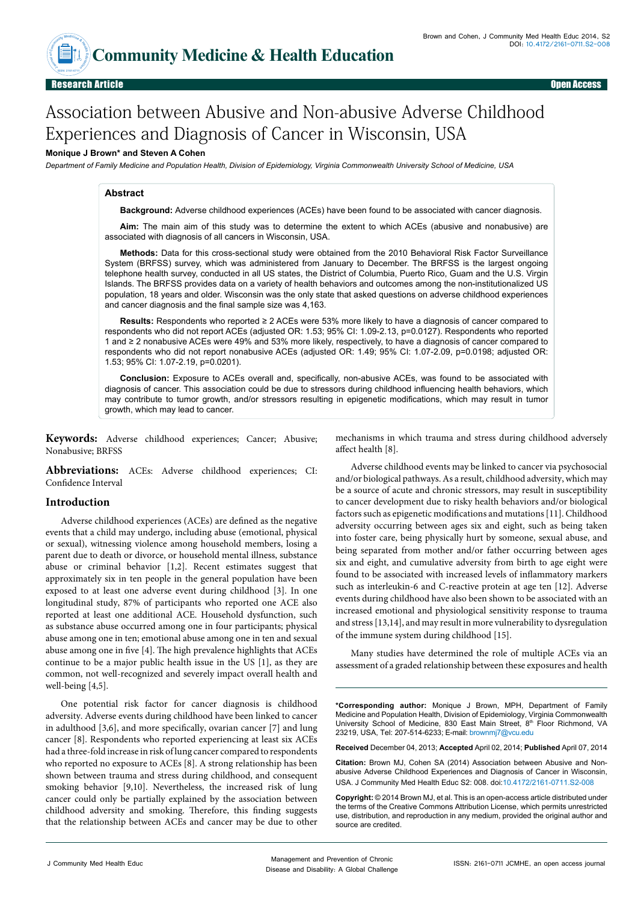

# Association between Abusive and Non-abusive Adverse Childhood Experiences and Diagnosis of Cancer in Wisconsin, USA

## **Monique J Brown\* and Steven A Cohen**

*Department of Family Medicine and Population Health, Division of Epidemiology, Virginia Commonwealth University School of Medicine, USA* 

#### **Abstract**

**Background:** Adverse childhood experiences (ACEs) have been found to be associated with cancer diagnosis.

**Aim:** The main aim of this study was to determine the extent to which ACEs (abusive and nonabusive) are associated with diagnosis of all cancers in Wisconsin, USA.

**Methods:** Data for this cross-sectional study were obtained from the 2010 Behavioral Risk Factor Surveillance System (BRFSS) survey, which was administered from January to December. The BRFSS is the largest ongoing telephone health survey, conducted in all US states, the District of Columbia, Puerto Rico, Guam and the U.S. Virgin Islands. The BRFSS provides data on a variety of health behaviors and outcomes among the non-institutionalized US population, 18 years and older. Wisconsin was the only state that asked questions on adverse childhood experiences and cancer diagnosis and the final sample size was 4,163.

**Results:** Respondents who reported ≥ 2 ACEs were 53% more likely to have a diagnosis of cancer compared to respondents who did not report ACEs (adjusted OR: 1.53; 95% CI: 1.09-2.13, p=0.0127). Respondents who reported 1 and ≥ 2 nonabusive ACEs were 49% and 53% more likely, respectively, to have a diagnosis of cancer compared to respondents who did not report nonabusive ACEs (adjusted OR: 1.49; 95% CI: 1.07-2.09, p=0.0198; adjusted OR: 1.53; 95% CI: 1.07-2.19, p=0.0201).

**Conclusion:** Exposure to ACEs overall and, specifically, non-abusive ACEs, was found to be associated with diagnosis of cancer. This association could be due to stressors during childhood influencing health behaviors, which may contribute to tumor growth, and/or stressors resulting in epigenetic modifications, which may result in tumor growth, which may lead to cancer.

**Keywords:** Adverse childhood experiences; Cancer; Abusive; Nonabusive; BRFSS

**Abbreviations:** ACEs: Adverse childhood experiences; CI: Confidence Interval

## **Introduction**

Adverse childhood experiences (ACEs) are defined as the negative events that a child may undergo, including abuse (emotional, physical or sexual), witnessing violence among household members, losing a parent due to death or divorce, or household mental illness, substance abuse or criminal behavior [1,2]. Recent estimates suggest that approximately six in ten people in the general population have been exposed to at least one adverse event during childhood [3]. In one longitudinal study, 87% of participants who reported one ACE also reported at least one additional ACE. Household dysfunction, such as substance abuse occurred among one in four participants; physical abuse among one in ten; emotional abuse among one in ten and sexual abuse among one in five [4]. The high prevalence highlights that ACEs continue to be a major public health issue in the US [1], as they are common, not well-recognized and severely impact overall health and well-being [4,5].

One potential risk factor for cancer diagnosis is childhood adversity. Adverse events during childhood have been linked to cancer in adulthood [3,6], and more specifically, ovarian cancer [7] and lung cancer [8]. Respondents who reported experiencing at least six ACEs had a three-fold increase in risk of lung cancer compared to respondents who reported no exposure to ACEs [8]. A strong relationship has been shown between trauma and stress during childhood, and consequent smoking behavior [9,10]. Nevertheless, the increased risk of lung cancer could only be partially explained by the association between childhood adversity and smoking. Therefore, this finding suggests that the relationship between ACEs and cancer may be due to other

mechanisms in which trauma and stress during childhood adversely affect health [8].

Adverse childhood events may be linked to cancer via psychosocial and/or biological pathways. As a result, childhood adversity, which may be a source of acute and chronic stressors, may result in susceptibility to cancer development due to risky health behaviors and/or biological factors such as epigenetic modifications and mutations [11]. Childhood adversity occurring between ages six and eight, such as being taken into foster care, being physically hurt by someone, sexual abuse, and being separated from mother and/or father occurring between ages six and eight, and cumulative adversity from birth to age eight were found to be associated with increased levels of inflammatory markers such as interleukin-6 and C-reactive protein at age ten [12]. Adverse events during childhood have also been shown to be associated with an increased emotional and physiological sensitivity response to trauma and stress [13,14], and may result in more vulnerability to dysregulation of the immune system during childhood [15].

Many studies have determined the role of multiple ACEs via an assessment of a graded relationship between these exposures and health

**\*Corresponding author:** Monique J Brown, MPH, Department of Family Medicine and Population Health, Division of Epidemiology, Virginia Commonwealth University School of Medicine, 830 East Main Street, 8<sup>th</sup> Floor Richmond, VA 23219, USA, Tel: 207-514-6233; E-mail: brownmj7@vcu.edu

**Received** December 04, 2013; **Accepted** April 02, 2014; **Published** April 07, 2014

**Citation:** Brown MJ, Cohen SA (2014) Association between Abusive and Nonabusive Adverse Childhood Experiences and Diagnosis of Cancer in Wisconsin, USA. J Community Med Health Educ S2: 008. doi:10.4172/2161-0711.S2-008

**Copyright:** © 2014 Brown MJ, et al. This is an open-access article distributed under the terms of the Creative Commons Attribution License, which permits unrestricted use, distribution, and reproduction in any medium, provided the original author and source are credited.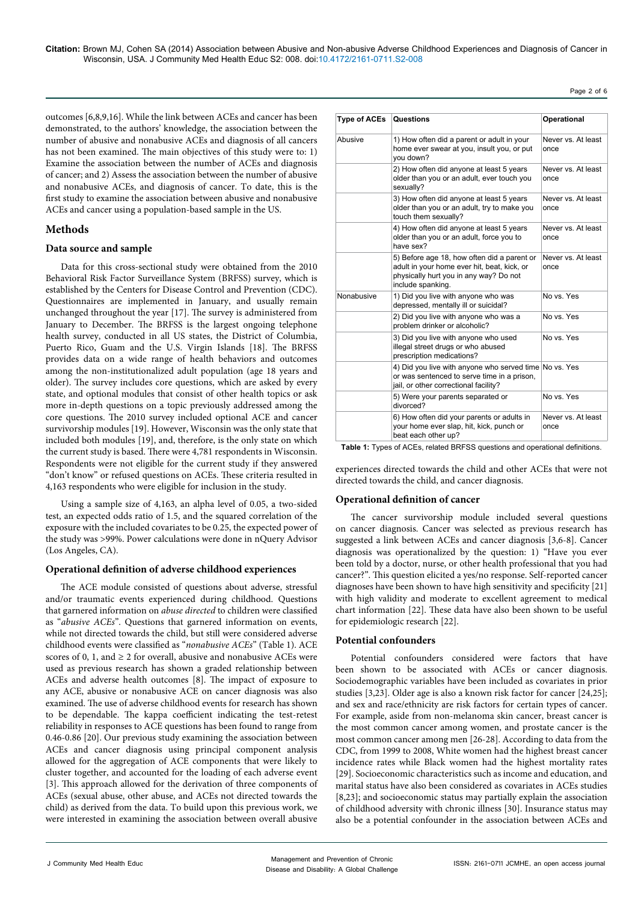**Citation:** Brown MJ, Cohen SA (2014) Association between Abusive and Non-abusive Adverse Childhood Experiences and Diagnosis of Cancer in Wisconsin, USA. J Community Med Health Educ S2: 008. doi:10.4172/2161-0711.S2-008

Page 2 of 6

outcomes [6,8,9,16]. While the link between ACEs and cancer has been demonstrated, to the authors' knowledge, the association between the number of abusive and nonabusive ACEs and diagnosis of all cancers has not been examined. The main objectives of this study were to: 1) Examine the association between the number of ACEs and diagnosis of cancer; and 2) Assess the association between the number of abusive and nonabusive ACEs, and diagnosis of cancer. To date, this is the first study to examine the association between abusive and nonabusive ACEs and cancer using a population-based sample in the US.

# **Methods**

## **Data source and sample**

Data for this cross-sectional study were obtained from the 2010 Behavioral Risk Factor Surveillance System (BRFSS) survey, which is established by the Centers for Disease Control and Prevention (CDC). Questionnaires are implemented in January, and usually remain unchanged throughout the year [17]. The survey is administered from January to December. The BRFSS is the largest ongoing telephone health survey, conducted in all US states, the District of Columbia, Puerto Rico, Guam and the U.S. Virgin Islands [18]. The BRFSS provides data on a wide range of health behaviors and outcomes among the non-institutionalized adult population (age 18 years and older). The survey includes core questions, which are asked by every state, and optional modules that consist of other health topics or ask more in-depth questions on a topic previously addressed among the core questions. The 2010 survey included optional ACE and cancer survivorship modules [19]. However, Wisconsin was the only state that included both modules [19], and, therefore, is the only state on which the current study is based. There were 4,781 respondents in Wisconsin. Respondents were not eligible for the current study if they answered "don't know" or refused questions on ACEs. These criteria resulted in 4,163 respondents who were eligible for inclusion in the study.

Using a sample size of 4,163, an alpha level of 0.05, a two-sided test, an expected odds ratio of 1.5, and the squared correlation of the exposure with the included covariates to be 0.25, the expected power of the study was >99%. Power calculations were done in nQuery Advisor (Los Angeles, CA).

## **Operational definition of adverse childhood experiences**

The ACE module consisted of questions about adverse, stressful and/or traumatic events experienced during childhood. Questions that garnered information on *abuse directed* to children were classified as "*abusive ACEs*". Questions that garnered information on events, while not directed towards the child, but still were considered adverse childhood events were classified as "*nonabusive ACEs*" (Table 1). ACE scores of 0, 1, and  $\geq$  2 for overall, abusive and nonabusive ACEs were used as previous research has shown a graded relationship between ACEs and adverse health outcomes [8]. The impact of exposure to any ACE, abusive or nonabusive ACE on cancer diagnosis was also examined. The use of adverse childhood events for research has shown to be dependable. The kappa coefficient indicating the test-retest reliability in responses to ACE questions has been found to range from 0.46-0.86 [20]. Our previous study examining the association between ACEs and cancer diagnosis using principal component analysis allowed for the aggregation of ACE components that were likely to cluster together, and accounted for the loading of each adverse event [3]. This approach allowed for the derivation of three components of ACEs (sexual abuse, other abuse, and ACEs not directed towards the child) as derived from the data. To build upon this previous work, we were interested in examining the association between overall abusive

| <b>Type of ACEs</b> | <b>Questions</b>                                                                                                                                          | Operational                |  |
|---------------------|-----------------------------------------------------------------------------------------------------------------------------------------------------------|----------------------------|--|
| Abusive             | 1) How often did a parent or adult in your<br>home ever swear at you, insult you, or put<br>you down?                                                     | Never vs. At least<br>once |  |
|                     | 2) How often did anyone at least 5 years<br>older than you or an adult, ever touch you<br>sexually?                                                       | Never vs. At least<br>once |  |
|                     | 3) How often did anyone at least 5 years<br>older than you or an adult, try to make you<br>touch them sexually?                                           | Never vs. At least<br>once |  |
|                     | 4) How often did anyone at least 5 years<br>older than you or an adult, force you to<br>have sex?                                                         | Never vs. At least<br>once |  |
|                     | 5) Before age 18, how often did a parent or<br>adult in your home ever hit, beat, kick, or<br>physically hurt you in any way? Do not<br>include spanking. | Never vs. At least<br>once |  |
| Nonabusive          | 1) Did you live with anyone who was<br>depressed, mentally ill or suicidal?                                                                               | No vs Yes                  |  |
|                     | 2) Did you live with anyone who was a<br>problem drinker or alcoholic?                                                                                    | No vs. Yes                 |  |
|                     | 3) Did you live with anyone who used<br>illegal street drugs or who abused<br>prescription medications?                                                   | No vs. Yes                 |  |
|                     | 4) Did you live with anyone who served time No vs. Yes<br>or was sentenced to serve time in a prison,<br>jail, or other correctional facility?            |                            |  |
|                     | 5) Were your parents separated or<br>divorced?                                                                                                            | No vs. Yes                 |  |
|                     | 6) How often did your parents or adults in<br>your home ever slap, hit, kick, punch or<br>beat each other up?                                             | Never vs. At least<br>once |  |

**Table 1:** Types of ACEs, related BRFSS questions and operational definitions.

experiences directed towards the child and other ACEs that were not directed towards the child, and cancer diagnosis.

## **Operational definition of cancer**

The cancer survivorship module included several questions on cancer diagnosis. Cancer was selected as previous research has suggested a link between ACEs and cancer diagnosis [3,6-8]. Cancer diagnosis was operationalized by the question: 1) "Have you ever been told by a doctor, nurse, or other health professional that you had cancer?". This question elicited a yes/no response. Self-reported cancer diagnoses have been shown to have high sensitivity and specificity [21] with high validity and moderate to excellent agreement to medical chart information [22]. These data have also been shown to be useful for epidemiologic research [22].

## **Potential confounders**

Potential confounders considered were factors that have been shown to be associated with ACEs or cancer diagnosis. Sociodemographic variables have been included as covariates in prior studies [3,23]. Older age is also a known risk factor for cancer [24,25]; and sex and race/ethnicity are risk factors for certain types of cancer. For example, aside from non-melanoma skin cancer, breast cancer is the most common cancer among women, and prostate cancer is the most common cancer among men [26-28]. According to data from the CDC, from 1999 to 2008, White women had the highest breast cancer incidence rates while Black women had the highest mortality rates [29]. Socioeconomic characteristics such as income and education, and marital status have also been considered as covariates in ACEs studies [8,23]; and socioeconomic status may partially explain the association of childhood adversity with chronic illness [30]. Insurance status may also be a potential confounder in the association between ACEs and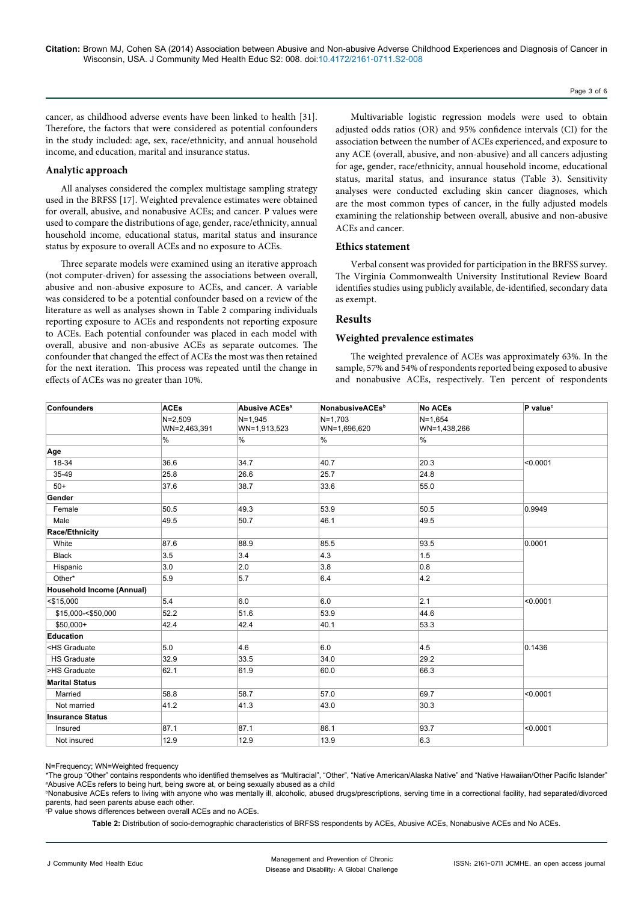cancer, as childhood adverse events have been linked to health [31]. Therefore, the factors that were considered as potential confounders in the study included: age, sex, race/ethnicity, and annual household income, and education, marital and insurance status.

#### **Analytic approach**

All analyses considered the complex multistage sampling strategy used in the BRFSS [17]. Weighted prevalence estimates were obtained for overall, abusive, and nonabusive ACEs; and cancer. P values were used to compare the distributions of age, gender, race/ethnicity, annual household income, educational status, marital status and insurance status by exposure to overall ACEs and no exposure to ACEs.

Three separate models were examined using an iterative approach (not computer-driven) for assessing the associations between overall, abusive and non-abusive exposure to ACEs, and cancer. A variable was considered to be a potential confounder based on a review of the literature as well as analyses shown in Table 2 comparing individuals reporting exposure to ACEs and respondents not reporting exposure to ACEs. Each potential confounder was placed in each model with overall, abusive and non-abusive ACEs as separate outcomes. The confounder that changed the effect of ACEs the most was then retained for the next iteration. This process was repeated until the change in effects of ACEs was no greater than 10%.

Multivariable logistic regression models were used to obtain adjusted odds ratios (OR) and 95% confidence intervals (CI) for the association between the number of ACEs experienced, and exposure to any ACE (overall, abusive, and non-abusive) and all cancers adjusting for age, gender, race/ethnicity, annual household income, educational status, marital status, and insurance status (Table 3). Sensitivity analyses were conducted excluding skin cancer diagnoses, which are the most common types of cancer, in the fully adjusted models examining the relationship between overall, abusive and non-abusive ACEs and cancer.

## **Ethics statement**

Verbal consent was provided for participation in the BRFSS survey. The Virginia Commonwealth University Institutional Review Board identifies studies using publicly available, de-identified, secondary data as exempt.

## **Results**

#### **Weighted prevalence estimates**

The weighted prevalence of ACEs was approximately 63%. In the sample, 57% and 54% of respondents reported being exposed to abusive and nonabusive ACEs, respectively. Ten percent of respondents

| <b>Confounders</b>                                                                          | <b>ACEs</b>                 | <b>Abusive ACEs<sup>a</sup></b> | NonabusiveACEs <sup>b</sup> | <b>No ACEs</b>              | P value <sup>c</sup> |
|---------------------------------------------------------------------------------------------|-----------------------------|---------------------------------|-----------------------------|-----------------------------|----------------------|
|                                                                                             | $N = 2,509$<br>WN=2,463,391 | $N = 1,945$<br>WN=1,913,523     | $N=1,703$<br>WN=1,696,620   | $N = 1,654$<br>WN=1,438,266 |                      |
|                                                                                             | %                           | %                               | %                           | $\%$                        |                      |
| Age                                                                                         |                             |                                 |                             |                             |                      |
| 18-34                                                                                       | 36.6                        | 34.7                            | 40.7                        | 20.3                        | < 0.0001             |
| 35-49                                                                                       | 25.8                        | 26.6                            | 25.7                        | 24.8                        |                      |
| $50+$                                                                                       | 37.6                        | 38.7                            | 33.6                        | 55.0                        |                      |
| Gender                                                                                      |                             |                                 |                             |                             |                      |
| Female                                                                                      | 50.5                        | 49.3                            | 53.9                        | 50.5                        | 0.9949               |
| Male                                                                                        | 49.5                        | 50.7                            | 46.1                        | 49.5                        |                      |
| Race/Ethnicity                                                                              |                             |                                 |                             |                             |                      |
| White                                                                                       | 87.6                        | 88.9                            | 85.5                        | 93.5                        | 0.0001               |
| <b>Black</b>                                                                                | 3.5                         | 3.4                             | 4.3                         | 1.5                         |                      |
| Hispanic                                                                                    | 3.0                         | 2.0                             | 3.8                         | 0.8                         |                      |
| Other*                                                                                      | 5.9                         | 5.7                             | 6.4                         | 4.2                         |                      |
| Household Income (Annual)                                                                   |                             |                                 |                             |                             |                      |
| $<$ \$15,000                                                                                | 5.4                         | 6.0                             | 6.0                         | 2.1                         | < 0.0001             |
| \$15,000-<\$50,000                                                                          | 52.2                        | 51.6                            | 53.9                        | 44.6                        |                      |
| \$50,000+                                                                                   | 42.4                        | 42.4                            | 40.1                        | 53.3                        |                      |
| <b>Education</b>                                                                            |                             |                                 |                             |                             |                      |
| <hs graduate<="" td=""><td>5.0</td><td>4.6</td><td>6.0</td><td>4.5</td><td>0.1436</td></hs> | 5.0                         | 4.6                             | 6.0                         | 4.5                         | 0.1436               |
| <b>HS Graduate</b>                                                                          | 32.9                        | 33.5                            | 34.0                        | 29.2                        |                      |
| >HS Graduate                                                                                | 62.1                        | 61.9                            | 60.0                        | 66.3                        |                      |
| <b>Marital Status</b>                                                                       |                             |                                 |                             |                             |                      |
| Married                                                                                     | 58.8                        | 58.7                            | 57.0                        | 69.7                        | < 0.0001             |
| Not married                                                                                 | 41.2                        | 41.3                            | 43.0                        | 30.3                        |                      |
| <b>Insurance Status</b>                                                                     |                             |                                 |                             |                             |                      |
| Insured                                                                                     | 87.1                        | 87.1                            | 86.1                        | 93.7                        | < 0.0001             |
| Not insured                                                                                 | 12.9                        | 12.9                            | 13.9                        | 6.3                         |                      |

N=Frequency; WN=Weighted frequency

\*The group "Other" contains respondents who identified themselves as "Multiracial", "Other", "Native American/Alaska Native" and "Native Hawaiian/Other Pacific Islander" a Abusive ACEs refers to being hurt, being swore at, or being sexually abused as a child

b Nonabusive ACEs refers to living with anyone who was mentally ill, alcoholic, abused drugs/prescriptions, serving time in a correctional facility, had separated/divorced parents, had seen parents abuse each other.

c P value shows differences between overall ACEs and no ACEs.

**Table 2:** Distribution of socio-demographic characteristics of BRFSS respondents by ACEs, Abusive ACEs, Nonabusive ACEs and No ACEs.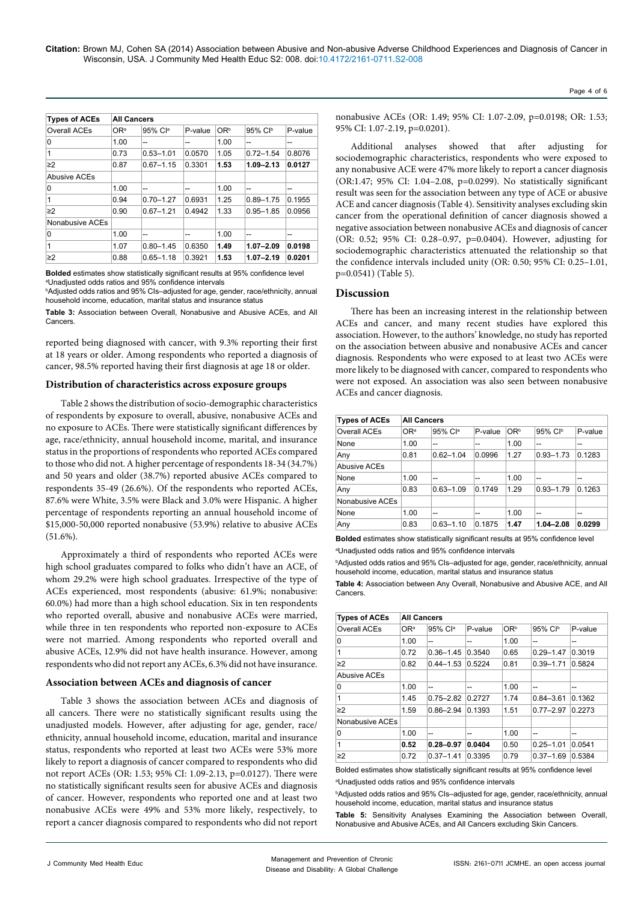| <b>Types of ACEs</b> | <b>All Cancers</b> |               |         |                 |               |         |
|----------------------|--------------------|---------------|---------|-----------------|---------------|---------|
| Overall ACEs         | O <sub>Ra</sub>    | 95% Cla       | P-value | OR <sup>b</sup> | 95% Clb       | P-value |
| 0                    | 1.00               | --            | --      | 1.00            | --            | --      |
| 1                    | 0.73               | $0.53 - 1.01$ | 0.0570  | 1.05            | $0.72 - 1.54$ | 0.8076  |
| $\geq$ 2             | 0.87               | $0.67 - 1.15$ | 0.3301  | 1.53            | $1.09 - 2.13$ | 0.0127  |
| Abusive ACEs         |                    |               |         |                 |               |         |
| 0                    | 1.00               | --            | --      | 1.00            | --            | --      |
| 1                    | 0.94               | $0.70 - 1.27$ | 0.6931  | 1.25            | $0.89 - 1.75$ | 0.1955  |
| $\geq$ 2             | 0.90               | $0.67 - 1.21$ | 0.4942  | 1.33            | $0.95 - 1.85$ | 0.0956  |
| Nonabusive ACEs      |                    |               |         |                 |               |         |
| 0                    | 1.00               | --            | --      | 1.00            | --            | --      |
| 1                    | 1.07               | $0.80 - 1.45$ | 0.6350  | 1.49            | $1.07 - 2.09$ | 0.0198  |
| $\geq$ 2             | 0.88               | $0.65 - 1.18$ | 0.3921  | 1.53            | $1.07 - 2.19$ | 0.0201  |

**Bolded** estimates show statistically significant results at 95% confidence level a Unadjusted odds ratios and 95% confidence intervals

b Adjusted odds ratios and 95% CIs–adjusted for age, gender, race/ethnicity, annual household income, education, marital status and insurance status

**Table 3:** Association between Overall, Nonabusive and Abusive ACEs, and All Cancers.

reported being diagnosed with cancer, with 9.3% reporting their first at 18 years or older. Among respondents who reported a diagnosis of cancer, 98.5% reported having their first diagnosis at age 18 or older.

#### **Distribution of characteristics across exposure groups**

Table 2 shows the distribution of socio-demographic characteristics of respondents by exposure to overall, abusive, nonabusive ACEs and no exposure to ACEs. There were statistically significant differences by age, race/ethnicity, annual household income, marital, and insurance status in the proportions of respondents who reported ACEs compared to those who did not. A higher percentage of respondents 18-34 (34.7%) and 50 years and older (38.7%) reported abusive ACEs compared to respondents 35-49 (26.6%). Of the respondents who reported ACEs, 87.6% were White, 3.5% were Black and 3.0% were Hispanic. A higher percentage of respondents reporting an annual household income of \$15,000-50,000 reported nonabusive (53.9%) relative to abusive ACEs  $(51.6\%)$ .

Approximately a third of respondents who reported ACEs were high school graduates compared to folks who didn't have an ACE, of whom 29.2% were high school graduates. Irrespective of the type of ACEs experienced, most respondents (abusive: 61.9%; nonabusive: 60.0%) had more than a high school education. Six in ten respondents who reported overall, abusive and nonabusive ACEs were married, while three in ten respondents who reported non-exposure to ACEs were not married. Among respondents who reported overall and abusive ACEs, 12.9% did not have health insurance. However, among respondents who did not report any ACEs, 6.3% did not have insurance.

#### **Association between ACEs and diagnosis of cancer**

Table 3 shows the association between ACEs and diagnosis of all cancers. There were no statistically significant results using the unadjusted models. However, after adjusting for age, gender, race/ ethnicity, annual household income, education, marital and insurance status, respondents who reported at least two ACEs were 53% more likely to report a diagnosis of cancer compared to respondents who did not report ACEs (OR: 1.53; 95% CI: 1.09-2.13, p=0.0127). There were no statistically significant results seen for abusive ACEs and diagnosis of cancer. However, respondents who reported one and at least two nonabusive ACEs were 49% and 53% more likely, respectively, to report a cancer diagnosis compared to respondents who did not report nonabusive ACEs (OR: 1.49; 95% CI: 1.07-2.09, p=0.0198; OR: 1.53; 95% CI: 1.07-2.19, p=0.0201).

Additional analyses showed that after adjusting for sociodemographic characteristics, respondents who were exposed to any nonabusive ACE were 47% more likely to report a cancer diagnosis (OR:1.47; 95% CI: 1.04–2.08, p=0.0299). No statistically significant result was seen for the association between any type of ACE or abusive ACE and cancer diagnosis (Table 4). Sensitivity analyses excluding skin cancer from the operational definition of cancer diagnosis showed a negative association between nonabusive ACEs and diagnosis of cancer (OR: 0.52; 95% CI: 0.28–0.97, p=0.0404). However, adjusting for sociodemographic characteristics attenuated the relationship so that the confidence intervals included unity (OR: 0.50; 95% CI: 0.25–1.01, p=0.0541) (Table 5).

## **Discussion**

There has been an increasing interest in the relationship between ACEs and cancer, and many recent studies have explored this association. However, to the authors' knowledge, no study has reported on the association between abusive and nonabusive ACEs and cancer diagnosis. Respondents who were exposed to at least two ACEs were more likely to be diagnosed with cancer, compared to respondents who were not exposed. An association was also seen between nonabusive ACEs and cancer diagnosis.

| <b>Types of ACEs</b> | <b>All Cancers</b> |               |         |                 |               |         |
|----------------------|--------------------|---------------|---------|-----------------|---------------|---------|
| Overall ACEs         | O <sub>Ra</sub>    | 95% Cla       | P-value | OR <sup>b</sup> | 95% CIb       | P-value |
| None                 | 1.00               | --            | --      | 1.00            |               | --      |
| Any                  | 0.81               | $0.62 - 1.04$ | 0.0996  | 1.27            | $0.93 - 1.73$ | 0.1283  |
| Abusive ACEs         |                    |               |         |                 |               |         |
| None                 | 1.00               | --            | --      | 1.00            | --            | --      |
| Any                  | 0.83               | $0.63 - 1.09$ | 0.1749  | 1.29            | $0.93 - 1.79$ | 0.1263  |
| Nonabusive ACEs      |                    |               |         |                 |               |         |
| None                 | 1.00               | --            | --      | 1.00            | --            | --      |
| Any                  | 0.83               | $0.63 - 1.10$ | 0.1875  | 1.47            | $1.04 - 2.08$ | 0.0299  |

**Bolded** estimates show statistically significant results at 95% confidence level a Unadjusted odds ratios and 95% confidence intervals

b Adjusted odds ratios and 95% CIs–adjusted for age, gender, race/ethnicity, annual household income, education, marital status and insurance status

**Table 4:** Association between Any Overall, Nonabusive and Abusive ACE, and All Cancers.

| <b>Types of ACEs</b> | <b>All Cancers</b> |               |         |                 |               |         |
|----------------------|--------------------|---------------|---------|-----------------|---------------|---------|
| Overall ACEs         | OR <sup>a</sup>    | 95% Cla       | P-value | OR <sup>b</sup> | 95% CIb       | P-value |
| 0                    | 1.00               | --            | --      | 1.00            | --            | --      |
| 1                    | 0.72               | $0.36 - 1.45$ | 0.3540  | 0.65            | $0.29 - 1.47$ | 0.3019  |
| $\geq$ 2             | 0.82               | $0.44 - 1.53$ | 0.5224  | 0.81            | $0.39 - 1.71$ | 0.5824  |
| Abusive ACEs         |                    |               |         |                 |               |         |
| 0                    | 1.00               | --            | --      | 1.00            | --            | --      |
| 1                    | 1.45               | $0.75 - 2.82$ | 0.2727  | 1.74            | $0.84 - 3.61$ | 0.1362  |
| $\geq$ 2             | 1.59               | $0.86 - 2.94$ | 0.1393  | 1.51            | $0.77 - 2.97$ | 0.2273  |
| Nonabusive ACEs      |                    |               |         |                 |               |         |
| 0                    | 1.00               | --            | --      | 1.00            | --            | --      |
| 1                    | 0.52               | $0.28 - 0.97$ | 0.0404  | 0.50            | $0.25 - 1.01$ | 0.0541  |
| $\geq$ 2             | 0.72               | $0.37 - 1.41$ | 0.3395  | 0.79            | $0.37 - 1.69$ | 0.5384  |

Bolded estimates show statistically significant results at 95% confidence level a Unadjusted odds ratios and 95% confidence intervals

b Adjusted odds ratios and 95% CIs–adjusted for age, gender, race/ethnicity, annual household income, education, marital status and insurance status

**Table 5:** Sensitivity Analyses Examining the Association between Overall, Nonabusive and Abusive ACEs, and All Cancers excluding Skin Cancers.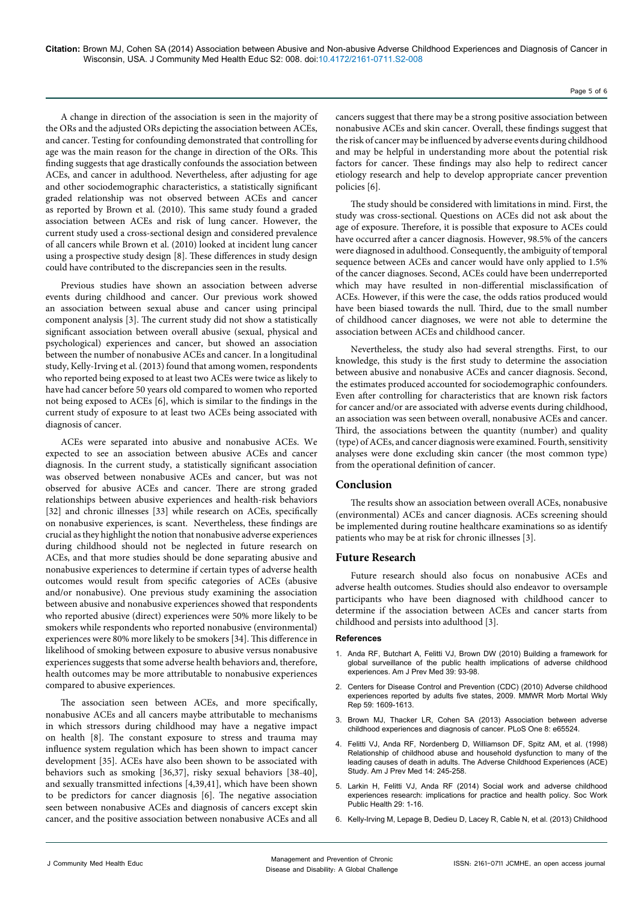**Citation:** Brown MJ, Cohen SA (2014) Association between Abusive and Non-abusive Adverse Childhood Experiences and Diagnosis of Cancer in Wisconsin, USA. J Community Med Health Educ S2: 008. doi:10.4172/2161-0711.S2-008

A change in direction of the association is seen in the majority of the ORs and the adjusted ORs depicting the association between ACEs, and cancer. Testing for confounding demonstrated that controlling for age was the main reason for the change in direction of the ORs. This finding suggests that age drastically confounds the association between ACEs, and cancer in adulthood. Nevertheless, after adjusting for age and other sociodemographic characteristics, a statistically significant graded relationship was not observed between ACEs and cancer as reported by Brown et al. (2010). This same study found a graded association between ACEs and risk of lung cancer. However, the current study used a cross-sectional design and considered prevalence of all cancers while Brown et al. (2010) looked at incident lung cancer using a prospective study design [8]. These differences in study design could have contributed to the discrepancies seen in the results.

Previous studies have shown an association between adverse events during childhood and cancer. Our previous work showed an association between sexual abuse and cancer using principal component analysis [3]. The current study did not show a statistically significant association between overall abusive (sexual, physical and psychological) experiences and cancer, but showed an association between the number of nonabusive ACEs and cancer. In a longitudinal study, Kelly-Irving et al. (2013) found that among women, respondents who reported being exposed to at least two ACEs were twice as likely to have had cancer before 50 years old compared to women who reported not being exposed to ACEs [6], which is similar to the findings in the current study of exposure to at least two ACEs being associated with diagnosis of cancer.

ACEs were separated into abusive and nonabusive ACEs. We expected to see an association between abusive ACEs and cancer diagnosis. In the current study, a statistically significant association was observed between nonabusive ACEs and cancer, but was not observed for abusive ACEs and cancer. There are strong graded relationships between abusive experiences and health-risk behaviors [32] and chronic illnesses [33] while research on ACEs, specifically on nonabusive experiences, is scant. Nevertheless, these findings are crucial as they highlight the notion that nonabusive adverse experiences during childhood should not be neglected in future research on ACEs, and that more studies should be done separating abusive and nonabusive experiences to determine if certain types of adverse health outcomes would result from specific categories of ACEs (abusive and/or nonabusive). One previous study examining the association between abusive and nonabusive experiences showed that respondents who reported abusive (direct) experiences were 50% more likely to be smokers while respondents who reported nonabusive (environmental) experiences were 80% more likely to be smokers [34]. This difference in likelihood of smoking between exposure to abusive versus nonabusive experiences suggests that some adverse health behaviors and, therefore, health outcomes may be more attributable to nonabusive experiences compared to abusive experiences.

The association seen between ACEs, and more specifically, nonabusive ACEs and all cancers maybe attributable to mechanisms in which stressors during childhood may have a negative impact on health [8]. The constant exposure to stress and trauma may influence system regulation which has been shown to impact cancer development [35]. ACEs have also been shown to be associated with behaviors such as smoking [36,37], risky sexual behaviors [38-40], and sexually transmitted infections [4,39,41], which have been shown to be predictors for cancer diagnosis [6]. The negative association seen between nonabusive ACEs and diagnosis of cancers except skin cancer, and the positive association between nonabusive ACEs and all

cancers suggest that there may be a strong positive association between nonabusive ACEs and skin cancer. Overall, these findings suggest that the risk of cancer may be influenced by adverse events during childhood and may be helpful in understanding more about the potential risk factors for cancer. These findings may also help to redirect cancer etiology research and help to develop appropriate cancer prevention policies [6].

The study should be considered with limitations in mind. First, the study was cross-sectional. Questions on ACEs did not ask about the age of exposure. Therefore, it is possible that exposure to ACEs could have occurred after a cancer diagnosis. However, 98.5% of the cancers were diagnosed in adulthood. Consequently, the ambiguity of temporal sequence between ACEs and cancer would have only applied to 1.5% of the cancer diagnoses. Second, ACEs could have been underreported which may have resulted in non-differential misclassification of ACEs. However, if this were the case, the odds ratios produced would have been biased towards the null. Third, due to the small number of childhood cancer diagnoses, we were not able to determine the association between ACEs and childhood cancer.

Nevertheless, the study also had several strengths. First, to our knowledge, this study is the first study to determine the association between abusive and nonabusive ACEs and cancer diagnosis. Second, the estimates produced accounted for sociodemographic confounders. Even after controlling for characteristics that are known risk factors for cancer and/or are associated with adverse events during childhood, an association was seen between overall, nonabusive ACEs and cancer. Third, the associations between the quantity (number) and quality (type) of ACEs, and cancer diagnosis were examined. Fourth, sensitivity analyses were done excluding skin cancer (the most common type) from the operational definition of cancer.

# **Conclusion**

The results show an association between overall ACEs, nonabusive (environmental) ACEs and cancer diagnosis. ACEs screening should be implemented during routine healthcare examinations so as identify patients who may be at risk for chronic illnesses [3].

## **Future Research**

Future research should also focus on nonabusive ACEs and adverse health outcomes. Studies should also endeavor to oversample participants who have been diagnosed with childhood cancer to determine if the association between ACEs and cancer starts from childhood and persists into adulthood [3].

#### **References**

- 1. [Anda RF, Butchart A, Felitti VJ, Brown DW \(2010\) Building a framework for](http://www.ncbi.nlm.nih.gov/pubmed/20547282)  [global surveillance of the public health implications of adverse childhood](http://www.ncbi.nlm.nih.gov/pubmed/20547282)  [experiences. Am J Prev Med 39: 93-98.](http://www.ncbi.nlm.nih.gov/pubmed/20547282)
- 2. [Centers for Disease Control and Prevention \(CDC\) \(2010\) Adverse childhood](http://www.ncbi.nlm.nih.gov/pubmed/21160456)  experiences reported by adults five states, 2009. MMWR Morb Mortal Wkly [Rep 59: 1609-1613.](http://www.ncbi.nlm.nih.gov/pubmed/21160456)
- 3. [Brown MJ, Thacker LR, Cohen SA \(2013\) Association between adverse](http://www.ncbi.nlm.nih.gov/pubmed/23776494)  [childhood experiences and diagnosis of cancer. PLoS One 8: e65524.](http://www.ncbi.nlm.nih.gov/pubmed/23776494)
- 4. [Felitti VJ, Anda RF, Nordenberg D, Williamson DF, Spitz AM, et al. \(1998\)](http://www.ncbi.nlm.nih.gov/pubmed/9635069)  [Relationship of childhood abuse and household dysfunction to many of the](http://www.ncbi.nlm.nih.gov/pubmed/9635069)  [leading causes of death in adults. The Adverse Childhood Experiences \(ACE\)](http://www.ncbi.nlm.nih.gov/pubmed/9635069)  [Study. Am J Prev Med 14: 245-258.](http://www.ncbi.nlm.nih.gov/pubmed/9635069)
- 5. [Larkin H, Felitti VJ, Anda RF \(2014\) Social work and adverse childhood](http://www.ncbi.nlm.nih.gov/pubmed/24188292)  [experiences research: implications for practice and health policy. Soc Work](http://www.ncbi.nlm.nih.gov/pubmed/24188292)  [Public Health 29: 1-16.](http://www.ncbi.nlm.nih.gov/pubmed/24188292)
- 6. [Kelly-Irving M, Lepage B, Dedieu D, Lacey R, Cable N, et al. \(2013\) Childhood](http://www.ncbi.nlm.nih.gov/pubmed/23957659)